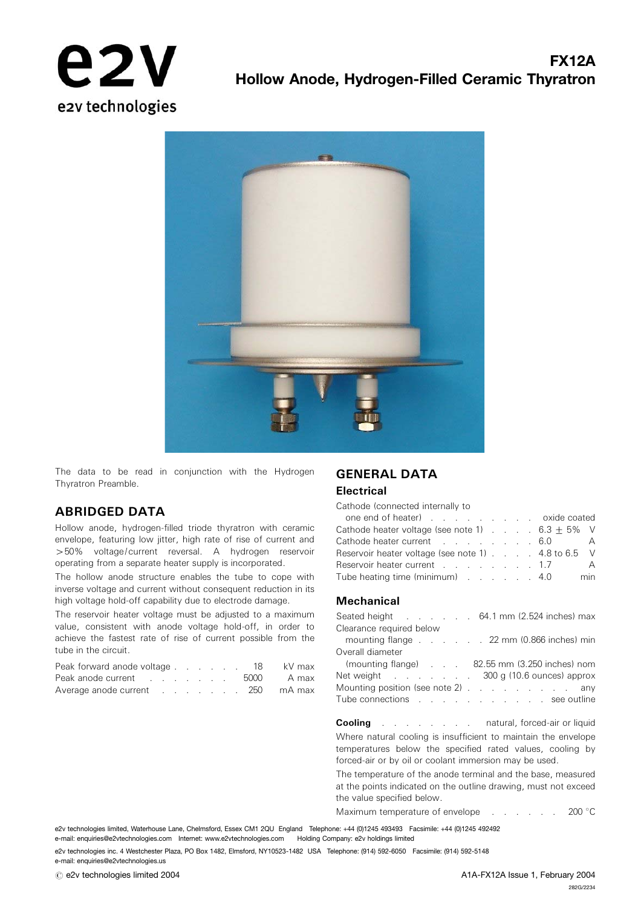



The data to be read in conjunction with the Hydrogen Thyratron Preamble.

### ABRIDGED DATA

Hollow anode, hydrogen-filled triode thyratron with ceramic envelope, featuring low jitter, high rate of rise of current and 450% voltage/current reversal. A hydrogen reservoir operating from a separate heater supply is incorporated.

The hollow anode structure enables the tube to cope with inverse voltage and current without consequent reduction in its high voltage hold-off capability due to electrode damage.

The reservoir heater voltage must be adjusted to a maximum value, consistent with anode voltage hold-off, in order to achieve the fastest rate of rise of current possible from the tube in the circuit.

| Peak forward anode voltage 18    |  |  |  |  | kV max |
|----------------------------------|--|--|--|--|--------|
| Peak anode current 5000 A max    |  |  |  |  |        |
| Average anode current 250 mA max |  |  |  |  |        |

# GENERAL DATA

#### **Electrical**

Cathode (connected internally to

| one end of heater) oxide coated                               |  |  |                |
|---------------------------------------------------------------|--|--|----------------|
| Cathode heater voltage (see note 1) $\ldots$ . 6.3 $\pm$ 5% V |  |  |                |
| Cathode heater current 6.0 A                                  |  |  |                |
| Reservoir heater voltage (see note 1) 4.8 to 6.5 V            |  |  |                |
| Reservoir heater current 1.7                                  |  |  | $\overline{A}$ |
| Tube heating time (minimum) 4.0                               |  |  | min            |

#### **Mechanical**

|                          | Seated height 64.1 mm (2.524 inches) max      |
|--------------------------|-----------------------------------------------|
| Clearance required below |                                               |
|                          | mounting flange 22 mm (0.866 inches) min      |
| Overall diameter         |                                               |
|                          | (mounting flange) 82.55 mm (3.250 inches) nom |
|                          | Net weight 300 g (10.6 ounces) approx         |
|                          | Mounting position (see note 2) any            |
|                          | Tube connections see outline                  |
|                          |                                               |

**Cooling** . . . . . . . . natural, forced-air or liquid Where natural cooling is insufficient to maintain the envelope temperatures below the specified rated values, cooling by forced-air or by oil or coolant immersion may be used.

The temperature of the anode terminal and the base, measured at the points indicated on the outline drawing, must not exceed the value specified below.

Maximum temperature of envelope . . . . . 200 °C

e2v technologies limited, Waterhouse Lane, Chelmsford, Essex CM1 2QU England Telephone: +44 (0)1245 493493 Facsimile: +44 (0)1245 492492 e-mail: enquiries@e2vtechnologies.com Internet: www.e2vtechnologies.com Holding Company: e2v holdings limited

e2v technologies inc. 4 Westchester Plaza, PO Box 1482, Elmsford, NY10523-1482 USA Telephone: (914) 592-6050 Facsimile: (914) 592-5148 e-mail: enquiries@e2vtechnologies.us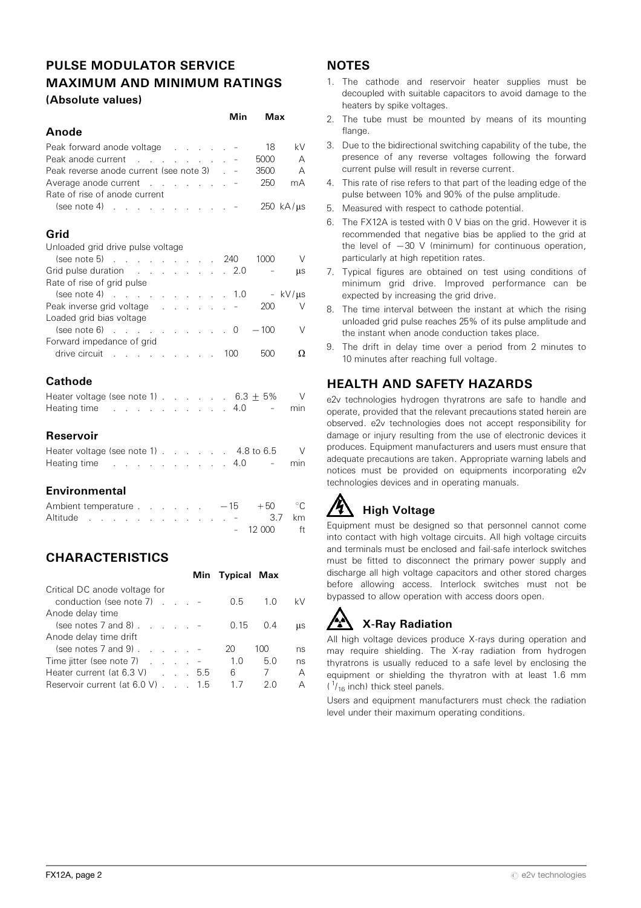## PULSE MODULATOR SERVICE MAXIMUM AND MINIMUM RATINGS (Absolute values)

Min Max

|                                                                                                                 | 1711 1 1 | ivias                        |
|-----------------------------------------------------------------------------------------------------------------|----------|------------------------------|
| Anode                                                                                                           |          |                              |
| Peak forward anode voltage -                                                                                    |          | 18<br>kV                     |
| Peak anode current -                                                                                            |          | 5000<br>A                    |
| Peak reverse anode current (see note 3) . -                                                                     |          | 3500<br>A                    |
| Average anode current -                                                                                         |          | 250<br>mA                    |
| Rate of rise of anode current                                                                                   |          |                              |
|                                                                                                                 |          | $250 \text{ kA/}\mu\text{s}$ |
|                                                                                                                 |          |                              |
| Grid                                                                                                            |          |                              |
| Unloaded grid drive pulse voltage                                                                               |          |                              |
| $(see note 5)$ 240                                                                                              |          | 1000<br>$\vee$               |
| Grid pulse duration 2.0                                                                                         |          | μs                           |
| Rate of rise of grid pulse                                                                                      |          |                              |
| $(see note 4)$ 1.0                                                                                              |          | - kV/µs                      |
| Peak inverse grid voltage results and results and results are all the Peak inverse grid voltage                 |          | 200<br>V                     |
| Loaded grid bias voltage                                                                                        |          |                              |
| $(see note 6)$ $\ldots$ $\ldots$ 0                                                                              |          | $-100$<br>V                  |
| Forward impedance of grid                                                                                       |          |                              |
|                                                                                                                 | 100      | 500<br>Ω                     |
|                                                                                                                 |          |                              |
| Cathode                                                                                                         |          |                              |
| Heater voltage (see note 1) $\ldots$ $\ldots$ $\ldots$ 6.3 $\pm$ 5%                                             |          | V                            |
| Heating time research and the state of the state of the state of the state of the state of the state of the sta | 4.0      | min                          |

#### Reservoir

| Heater voltage (see note 1) 4.8 to 6.5                                                                          |  |  |  |  |  |  |  |
|-----------------------------------------------------------------------------------------------------------------|--|--|--|--|--|--|--|
| Heating time research in the set of the set of the set of the set of the set of the set of the set of the set o |  |  |  |  |  |  |  |

#### Environmental

|  |  |  |  |  |  | Ambient temperature $\ldots$ $\ldots$ $-15$ $+50$ °C |  |
|--|--|--|--|--|--|------------------------------------------------------|--|
|  |  |  |  |  |  | Altitude 3.7 km                                      |  |
|  |  |  |  |  |  | $-12000$ ft                                          |  |

## **CHARACTERISTICS**

|                                              |  |  | Min Typical Max |     |            |
|----------------------------------------------|--|--|-----------------|-----|------------|
| Critical DC anode voltage for                |  |  |                 |     |            |
| conduction (see note $7$ ) $\ldots$ $\ldots$ |  |  | 0.5             | 1.0 | kV         |
| Anode delay time                             |  |  |                 |     |            |
| (see notes $7$ and $8$ )                     |  |  | 0.15            | 0.4 | <b>LLS</b> |
| Anode delay time drift                       |  |  |                 |     |            |
| (see notes $7$ and $9$ ) $\ldots$ $\ldots$   |  |  | 20              | 100 | ns         |
| Time jitter (see note 7) $\ldots$ $\ldots$   |  |  | 1.0             | 5.0 | ns         |
| Heater current (at $6.3 \text{ V}$ ) 5.5     |  |  | 6               | 7   | А          |
| Reservoir current (at 6.0 V) 1.5             |  |  | 1/              | 2 O | А          |

## **NOTES**

- 1. The cathode and reservoir heater supplies must be decoupled with suitable capacitors to avoid damage to the heaters by spike voltages.
- 2. The tube must be mounted by means of its mounting flange
- 3. Due to the bidirectional switching capability of the tube, the presence of any reverse voltages following the forward current pulse will result in reverse current.
- 4. This rate of rise refers to that part of the leading edge of the pulse between 10% and 90% of the pulse amplitude.
- 5. Measured with respect to cathode potential.
- 6. The FX12A is tested with 0 V bias on the grid. However it is recommended that negative bias be applied to the grid at the level of  $-30$  V (minimum) for continuous operation particularly at high repetition rates.
- 7. Typical figures are obtained on test using conditions of minimum grid drive. Improved performance can be expected by increasing the grid drive.
- 8. The time interval between the instant at which the rising unloaded grid pulse reaches 25% of its pulse amplitude and the instant when anode conduction takes place.
- 9. The drift in delay time over a period from 2 minutes to 10 minutes after reaching full voltage.

## HEALTH AND SAFETY HAZARDS

e2v technologies hydrogen thyratrons are safe to handle and operate, provided that the relevant precautions stated herein are observed. e2v technologies does not accept responsibility for damage or injury resulting from the use of electronic devices it produces. Equipment manufacturers and users must ensure that adequate precautions are taken. Appropriate warning labels and notices must be provided on equipments incorporating e2v technologies devices and in operating manuals.

## High Voltage

Equipment must be designed so that personnel cannot come into contact with high voltage circuits. All high voltage circuits and terminals must be enclosed and fail-safe interlock switches must be fitted to disconnect the primary power supply and discharge all high voltage capacitors and other stored charges before allowing access. Interlock switches must not be bypassed to allow operation with access doors open.

## X-Ray Radiation

All high voltage devices produce X-rays during operation and may require shielding. The X-ray radiation from hydrogen thyratrons is usually reduced to a safe level by enclosing the equipment or shielding the thyratron with at least 1.6 mm  $(1/16$  inch) thick steel panels.

Users and equipment manufacturers must check the radiation level under their maximum operating conditions.